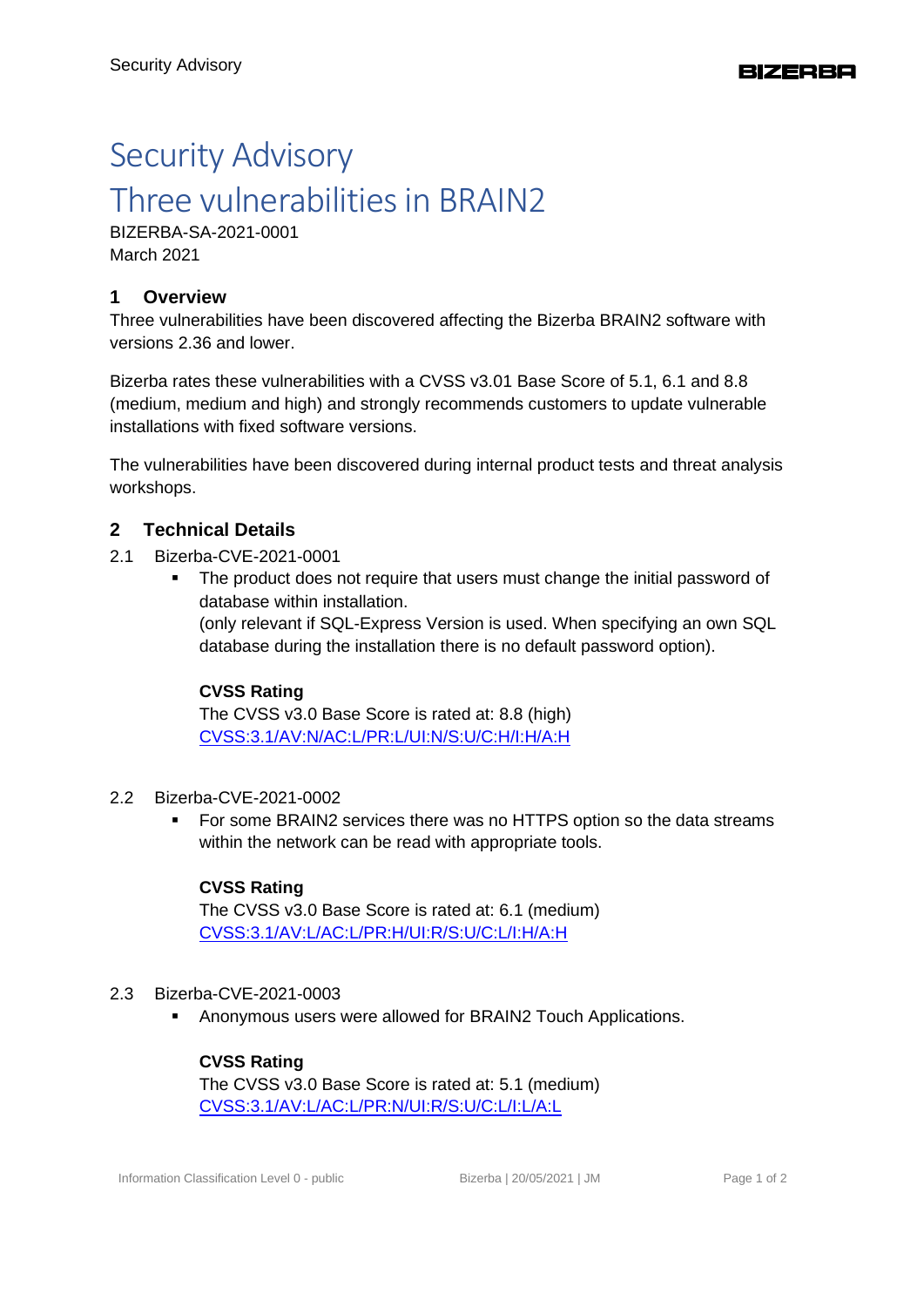# Security Advisory Three vulnerabilities in BRAIN2

BIZERBA-SA-2021-0001 March 2021

## **1 Overview**

Three vulnerabilities have been discovered affecting the Bizerba BRAIN2 software with versions 2.36 and lower.

Bizerba rates these vulnerabilities with a CVSS v3.01 Base Score of 5.1, 6.1 and 8.8 (medium, medium and high) and strongly recommends customers to update vulnerable installations with fixed software versions.

The vulnerabilities have been discovered during internal product tests and threat analysis workshops.

## **2 Technical Details**

- 2.1 Bizerba-CVE-2021-0001
	- **•** The product does not require that users must change the initial password of database within installation. (only relevant if SQL-Express Version is used. When specifying an own SQL database during the installation there is no default password option).

## **CVSS Rating**

The CVSS v3.0 Base Score is rated at: 8.8 (high) [CVSS:3.1/AV:N/AC:L/PR:L/UI:N/S:U/C:H/I:H/A:H](https://www.first.org/cvss/calculator/3.1#CVSS:3.1/AV:N/AC:L/PR:L/UI:N/S:U/C:H/I:H/A:H)

- 2.2 Bizerba-CVE-2021-0002
	- For some BRAIN2 services there was no HTTPS option so the data streams within the network can be read with appropriate tools.

#### **CVSS Rating**

The CVSS v3.0 Base Score is rated at: 6.1 (medium) [CVSS:3.1/AV:L/AC:L/PR:H/UI:R/S:U/C:L/I:H/A:H](https://www.first.org/cvss/calculator/3.1#CVSS:3.1/AV:L/AC:L/PR:H/UI:R/S:U/C:L/I:H/A:H)

#### 2.3 Bizerba-CVE-2021-0003

Anonymous users were allowed for BRAIN2 Touch Applications.

#### **CVSS Rating**

The CVSS v3.0 Base Score is rated at: 5.1 (medium) [CVSS:3.1/AV:L/AC:L/PR:N/UI:R/S:U/C:L/I:L/A:L](https://www.first.org/cvss/calculator/3.1#CVSS:3.1/AV:L/AC:L/PR:N/UI:R/S:U/C:L/I:L/A:L)